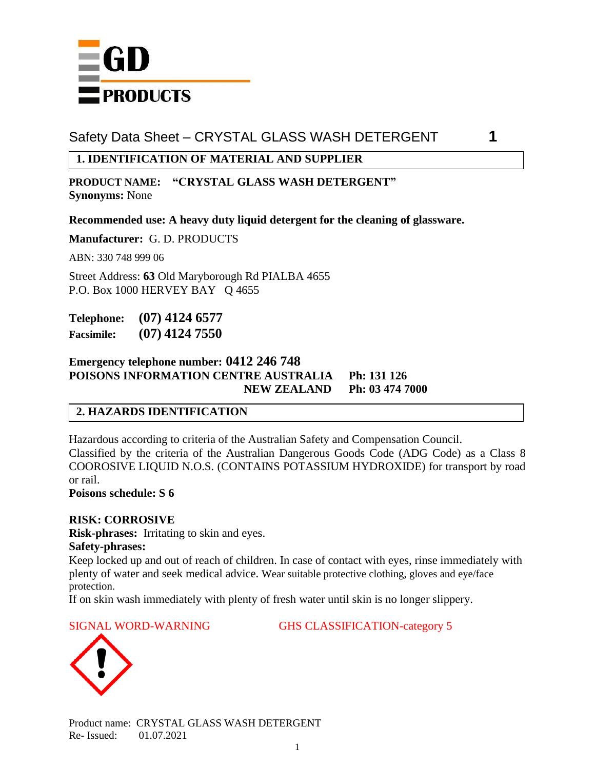

## **1. IDENTIFICATION OF MATERIAL AND SUPPLIER**

**PRODUCT NAME: "CRYSTAL GLASS WASH DETERGENT" Synonyms:** None

**Recommended use: A heavy duty liquid detergent for the cleaning of glassware.**

**Manufacturer:** G. D. PRODUCTS

ABN: 330 748 999 06

Street Address: **63** Old Maryborough Rd PIALBA 4655 P.O. Box 1000 HERVEY BAY Q 4655

**Telephone: (07) 4124 6577 Facsimile: (07) 4124 7550**

#### **Emergency telephone number: 0412 246 748 POISONS INFORMATION CENTRE AUSTRALIA Ph: 131 126 NEW ZEALAND Ph: 03 474 7000**

## **2. HAZARDS IDENTIFICATION**

Hazardous according to criteria of the Australian Safety and Compensation Council. Classified by the criteria of the Australian Dangerous Goods Code (ADG Code) as a Class 8 COOROSIVE LIQUID N.O.S. (CONTAINS POTASSIUM HYDROXIDE) for transport by road or rail. **Poisons schedule: S 6**

#### **RISK: CORROSIVE**

**Risk-phrases:** Irritating to skin and eyes.

#### **Safety-phrases:**

Keep locked up and out of reach of children. In case of contact with eyes, rinse immediately with plenty of water and seek medical advice. Wear suitable protective clothing, gloves and eye/face protection.

If on skin wash immediately with plenty of fresh water until skin is no longer slippery.

SIGNAL WORD-WARNING GHS CLASSIFICATION-category 5



Product name: CRYSTAL GLASS WASH DETERGENT Re- Issued: 01.07.2021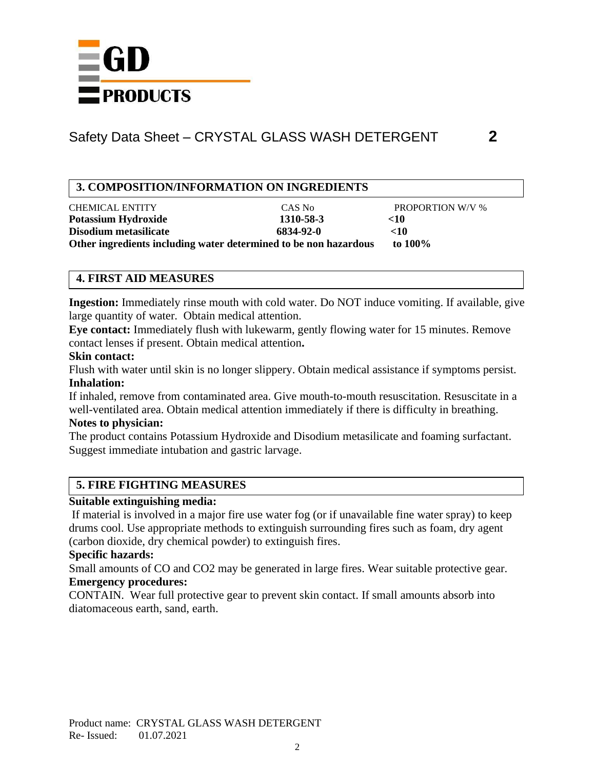

## **3. COMPOSITION/INFORMATION ON INGREDIENTS**

CHEMICAL ENTITY CAS No PROPORTION W/V % **Potassium Hydroxide 1310-58-3** <10 **Disodium metasilicate 6834-92-0 <10 Other ingredients including water determined to be non hazardous to 100%**

## **4. FIRST AID MEASURES**

**Ingestion:** Immediately rinse mouth with cold water. Do NOT induce vomiting. If available, give large quantity of water. Obtain medical attention.

**Eye contact:** Immediately flush with lukewarm, gently flowing water for 15 minutes. Remove contact lenses if present. Obtain medical attention**.**

#### **Skin contact:**

Flush with water until skin is no longer slippery. Obtain medical assistance if symptoms persist. **Inhalation:**

If inhaled, remove from contaminated area. Give mouth-to-mouth resuscitation. Resuscitate in a well-ventilated area. Obtain medical attention immediately if there is difficulty in breathing.

#### **Notes to physician:**

The product contains Potassium Hydroxide and Disodium metasilicate and foaming surfactant. Suggest immediate intubation and gastric larvage.

## **5. FIRE FIGHTING MEASURES**

## **Suitable extinguishing media:**

If material is involved in a major fire use water fog (or if unavailable fine water spray) to keep drums cool. Use appropriate methods to extinguish surrounding fires such as foam, dry agent (carbon dioxide, dry chemical powder) to extinguish fires.

## **Specific hazards:**

Small amounts of CO and CO2 may be generated in large fires. Wear suitable protective gear. **Emergency procedures:**

CONTAIN. Wear full protective gear to prevent skin contact. If small amounts absorb into diatomaceous earth, sand, earth.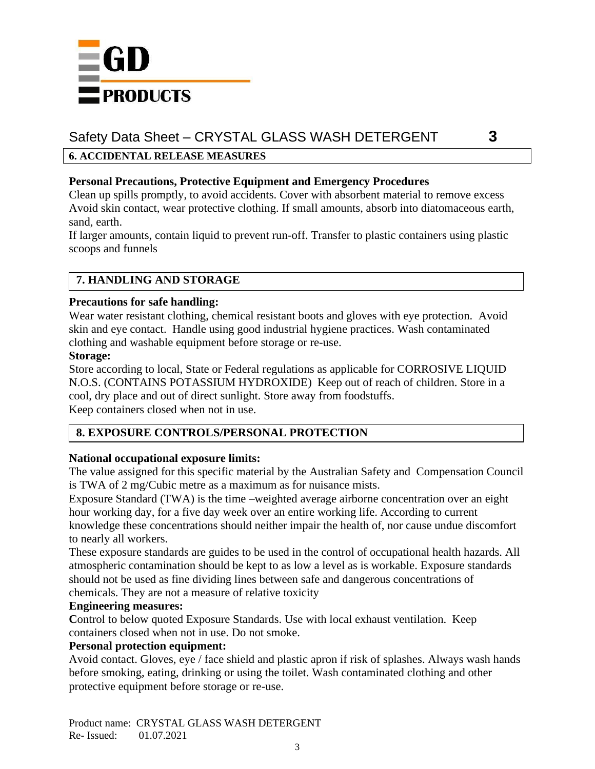

## **6. ACCIDENTAL RELEASE MEASURES**

### **Personal Precautions, Protective Equipment and Emergency Procedures**

Clean up spills promptly, to avoid accidents. Cover with absorbent material to remove excess Avoid skin contact, wear protective clothing. If small amounts, absorb into diatomaceous earth, sand, earth.

If larger amounts, contain liquid to prevent run-off. Transfer to plastic containers using plastic scoops and funnels

## **7. HANDLING AND STORAGE**

#### **Precautions for safe handling:**

Wear water resistant clothing, chemical resistant boots and gloves with eye protection. Avoid skin and eye contact. Handle using good industrial hygiene practices. Wash contaminated clothing and washable equipment before storage or re-use.

#### **Storage:**

Store according to local, State or Federal regulations as applicable for CORROSIVE LIQUID N.O.S. (CONTAINS POTASSIUM HYDROXIDE) Keep out of reach of children. Store in a cool, dry place and out of direct sunlight. Store away from foodstuffs. Keep containers closed when not in use.

## **8. EXPOSURE CONTROLS/PERSONAL PROTECTION**

#### **National occupational exposure limits:**

The value assigned for this specific material by the Australian Safety and Compensation Council is TWA of 2 mg/Cubic metre as a maximum as for nuisance mists.

Exposure Standard (TWA) is the time –weighted average airborne concentration over an eight hour working day, for a five day week over an entire working life. According to current knowledge these concentrations should neither impair the health of, nor cause undue discomfort to nearly all workers.

These exposure standards are guides to be used in the control of occupational health hazards. All atmospheric contamination should be kept to as low a level as is workable. Exposure standards should not be used as fine dividing lines between safe and dangerous concentrations of chemicals. They are not a measure of relative toxicity

#### **Engineering measures:**

Control to below quoted Exposure Standards. Use with local exhaust ventilation. Keep containers closed when not in use. Do not smoke.

## **Personal protection equipment:**

Avoid contact. Gloves, eye / face shield and plastic apron if risk of splashes. Always wash hands before smoking, eating, drinking or using the toilet. Wash contaminated clothing and other protective equipment before storage or re-use.

Product name: CRYSTAL GLASS WASH DETERGENT Re- Issued: 01.07.2021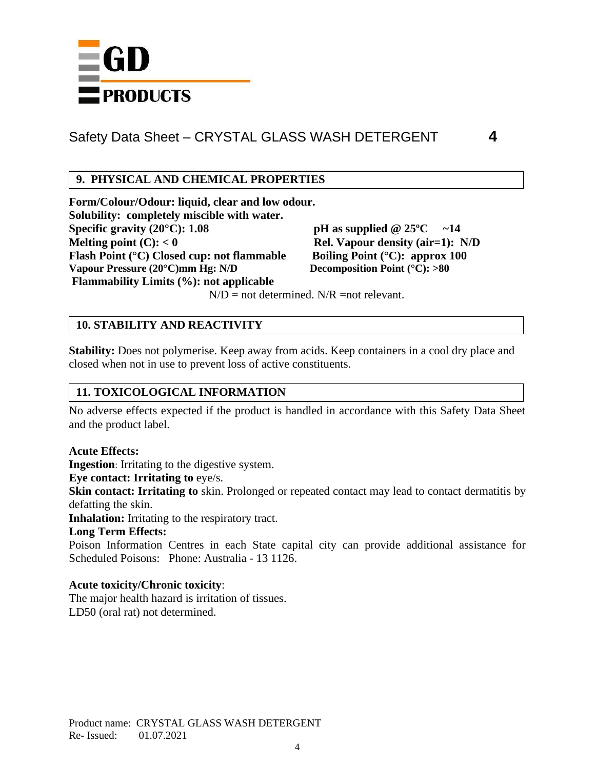

## **9. PHYSICAL AND CHEMICAL PROPERTIES**

**Form/Colour/Odour: liquid, clear and low odour. Solubility: completely miscible with water. Specific gravity (20°C):** 1.08 **pH** as supplied  $@ 25$ °C ~14 **Melting point (C):**  $< 0$  **Rel. Vapour density (air=1):** N/D **Flash Point (°C) Closed cup: not flammable Boiling Point (°C): approx 100 Vapour Pressure (20°C)mm Hg: N/D Decomposition Point (°C): >80 Flammability Limits (%): not applicable**

 $N/D$  = not determined.  $N/R$  = not relevant.

#### **10. STABILITY AND REACTIVITY**

**Stability:** Does not polymerise. Keep away from acids. Keep containers in a cool dry place and closed when not in use to prevent loss of active constituents.

## **11. TOXICOLOGICAL INFORMATION**

No adverse effects expected if the product is handled in accordance with this Safety Data Sheet and the product label.

#### **Acute Effects:**

**Ingestion**: Irritating to the digestive system.

**Eye contact: Irritating to** eye/s.

**Skin contact: Irritating to** skin. Prolonged or repeated contact may lead to contact dermatitis by defatting the skin.

**Inhalation:** Irritating to the respiratory tract.

#### **Long Term Effects:**

Poison Information Centres in each State capital city can provide additional assistance for Scheduled Poisons: Phone: Australia - 13 1126.

#### **Acute toxicity/Chronic toxicity**:

The major health hazard is irritation of tissues. LD50 (oral rat) not determined.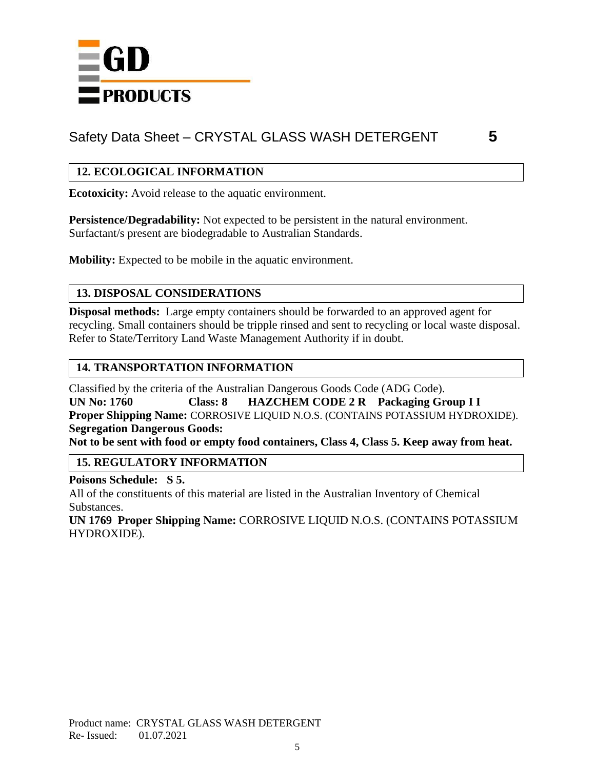

## **12. ECOLOGICAL INFORMATION**

**Ecotoxicity:** Avoid release to the aquatic environment.

**Persistence/Degradability:** Not expected to be persistent in the natural environment. Surfactant/s present are biodegradable to Australian Standards.

**Mobility:** Expected to be mobile in the aquatic environment.

## **13. DISPOSAL CONSIDERATIONS**

**Disposal methods:** Large empty containers should be forwarded to an approved agent for recycling. Small containers should be tripple rinsed and sent to recycling or local waste disposal. Refer to State/Territory Land Waste Management Authority if in doubt.

## **14. TRANSPORTATION INFORMATION**

Classified by the criteria of the Australian Dangerous Goods Code (ADG Code). **UN No: 1760 Class: 8 HAZCHEM CODE 2 R Packaging Group I I Proper Shipping Name:** CORROSIVE LIQUID N.O.S. (CONTAINS POTASSIUM HYDROXIDE). **Segregation Dangerous Goods: Not to be sent with food or empty food containers, Class 4, Class 5. Keep away from heat.** 

## **15. REGULATORY INFORMATION**

**Poisons Schedule: S 5.** All of the constituents of this material are listed in the Australian Inventory of Chemical Substances.

**UN 1769 Proper Shipping Name:** CORROSIVE LIQUID N.O.S. (CONTAINS POTASSIUM HYDROXIDE).